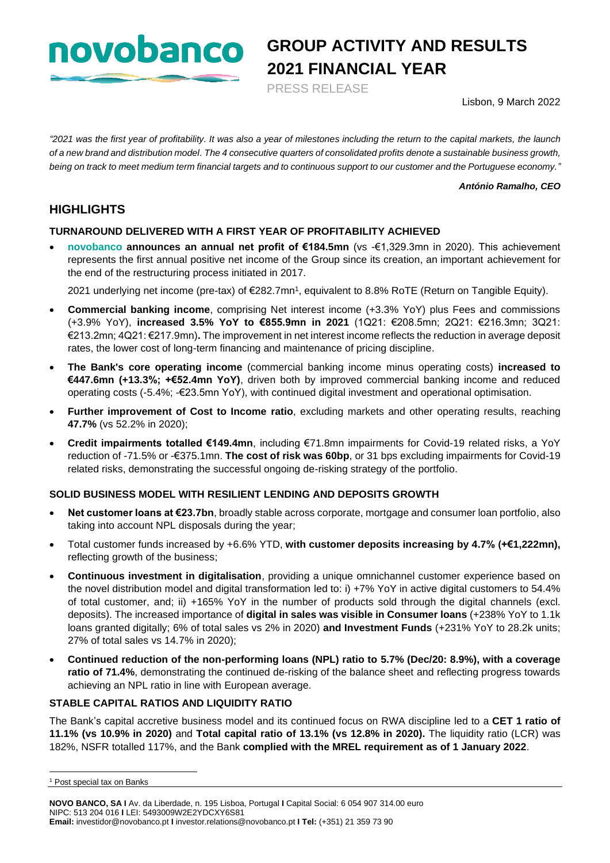

# **GROUP ACTIVITY AND RESULTS 2021 FINANCIAL YEAR**

PRESS RELEASE

Lisbon, 9 March 2022

*"2021 was the first year of profitability. It was also a year of milestones including the return to the capital markets, the launch of a new brand and distribution model. The 4 consecutive quarters of consolidated profits denote a sustainable business growth, being on track to meet medium term financial targets and to continuous support to our customer and the Portuguese economy."*

*António Ramalho, CEO*

# **HIGHLIGHTS**

### **TURNAROUND DELIVERED WITH A FIRST YEAR OF PROFITABILITY ACHIEVED**

• **novobanco announces an annual net profit of €184.5mn** (vs -€1,329.3mn in 2020). This achievement represents the first annual positive net income of the Group since its creation, an important achievement for the end of the restructuring process initiated in 2017.

2021 underlying net income (pre-tax) of €282.7mn<sup>1</sup>, equivalent to 8.8% RoTE (Return on Tangible Equity).

- **Commercial banking income**, comprising Net interest income (+3.3% YoY) plus Fees and commissions (+3.9% YoY), **increased 3.5% YoY to €855.9mn in 2021** (1Q21: €208.5mn; 2Q21: €216.3mn; 3Q21: €213.2mn; 4Q21: €217.9mn)**.** The improvement in net interest income reflects the reduction in average deposit rates, the lower cost of long-term financing and maintenance of pricing discipline.
- **The Bank's core operating income** (commercial banking income minus operating costs) **increased to €447.6mn (+13.3%; +€52.4mn YoY)**, driven both by improved commercial banking income and reduced operating costs (-5.4%; -€23.5mn YoY), with continued digital investment and operational optimisation.
- **Further improvement of Cost to Income ratio**, excluding markets and other operating results, reaching **47.7%** (vs 52.2% in 2020);
- **Credit impairments totalled €149.4mn**, including €71.8mn impairments for Covid-19 related risks, a YoY reduction of -71.5% or -€375.1mn. **The cost of risk was 60bp**, or 31 bps excluding impairments for Covid-19 related risks, demonstrating the successful ongoing de-risking strategy of the portfolio.

### **SOLID BUSINESS MODEL WITH RESILIENT LENDING AND DEPOSITS GROWTH**

- **Net customer loans at €23.7bn**, broadly stable across corporate, mortgage and consumer loan portfolio, also taking into account NPL disposals during the year;
- Total customer funds increased by +6.6% YTD, **with customer deposits increasing by 4.7% (+€1,222mn),**  reflecting growth of the business;
- **Continuous investment in digitalisation**, providing a unique omnichannel customer experience based on the novel distribution model and digital transformation led to: i) +7% YoY in active digital customers to 54.4% of total customer, and; ii) +165% YoY in the number of products sold through the digital channels (excl. deposits). The increased importance of **digital in sales was visible in Consumer loans** (+238% YoY to 1.1k loans granted digitally; 6% of total sales vs 2% in 2020) **and Investment Funds** (+231% YoY to 28.2k units; 27% of total sales vs 14.7% in 2020);
- **Continued reduction of the non-performing loans (NPL) ratio to 5.7% (Dec/20: 8.9%), with a coverage ratio of 71.4%**, demonstrating the continued de-risking of the balance sheet and reflecting progress towards achieving an NPL ratio in line with European average.

### **STABLE CAPITAL RATIOS AND LIQUIDITY RATIO**

The Bank's capital accretive business model and its continued focus on RWA discipline led to a **CET 1 ratio of 11.1% (vs 10.9% in 2020)** and **Total capital ratio of 13.1% (vs 12.8% in 2020).** The liquidity ratio (LCR) was 182%, NSFR totalled 117%, and the Bank **complied with the MREL requirement as of 1 January 2022**.

<sup>1</sup> Post special tax on Banks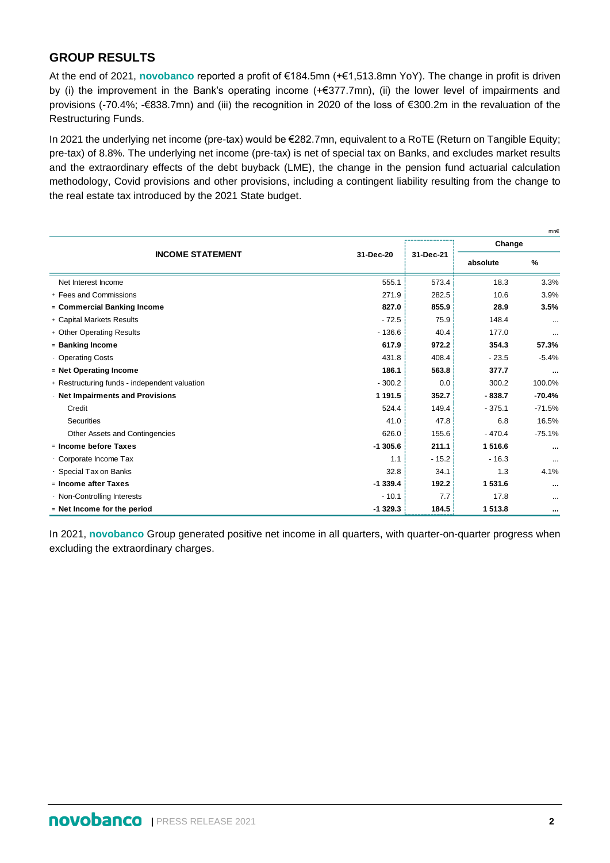# **GROUP RESULTS**

At the end of 2021, **novobanco** reported a profit of €184.5mn (+€1,513.8mn YoY). The change in profit is driven by (i) the improvement in the Bank's operating income (+€377.7mn), (ii) the lower level of impairments and provisions (-70.4%; -€838.7mn) and (iii) the recognition in 2020 of the loss of €300.2m in the revaluation of the Restructuring Funds.

In 2021 the underlying net income (pre-tax) would be €282.7mn, equivalent to a RoTE (Return on Tangible Equity; pre-tax) of 8.8%. The underlying net income (pre-tax) is net of special tax on Banks, and excludes market results and the extraordinary effects of the debt buyback (LME), the change in the pension fund actuarial calculation methodology, Covid provisions and other provisions, including a contingent liability resulting from the change to the real estate tax introduced by the 2021 State budget.

|                                               |            |           |          | mn€      |
|-----------------------------------------------|------------|-----------|----------|----------|
| <b>INCOME STATEMENT</b>                       |            |           | Change   |          |
|                                               | 31-Dec-20  | 31-Dec-21 | absolute | %        |
| Net Interest Income                           | 555.1      | 573.4     | 18.3     | 3.3%     |
| + Fees and Commissions                        | 271.9      | 282.5     | 10.6     | 3.9%     |
| = Commercial Banking Income                   | 827.0      | 855.9     | 28.9     | 3.5%     |
| + Capital Markets Results                     | $-72.5$    | 75.9      | 148.4    | $\cdots$ |
| + Other Operating Results                     | $-136.6$   | 40.4      | 177.0    |          |
| = Banking Income                              | 617.9      | 972.2     | 354.3    | 57.3%    |
| - Operating Costs                             | 431.8      | 408.4     | $-23.5$  | $-5.4%$  |
| = Net Operating Income                        | 186.1      | 563.8     | 377.7    | $\cdots$ |
| + Restructuring funds - independent valuation | $-300.2$   | 0.0       | 300.2    | 100.0%   |
| - Net Impairments and Provisions              | 1 1 9 1 .5 | 352.7     | $-838.7$ | $-70.4%$ |
| Credit                                        | 524.4      | 149.4     | $-375.1$ | $-71.5%$ |
| <b>Securities</b>                             | 41.0       | 47.8      | 6.8      | 16.5%    |
| Other Assets and Contingencies                | 626.0      | 155.6     | $-470.4$ | $-75.1%$ |
| = Income before Taxes                         | $-1305.6$  | 211.1     | 1 516.6  | $\cdots$ |
| - Corporate Income Tax                        | 1.1        | $-15.2$   | $-16.3$  | $\cdots$ |
| - Special Tax on Banks                        | 32.8       | 34.1      | 1.3      | 4.1%     |
| = Income after Taxes                          | $-1339.4$  | 192.2     | 1 531.6  | $\cdots$ |
| - Non-Controlling Interests                   | $-10.1$    | 7.7       | 17.8     |          |
| = Net Income for the period                   | $-1329.3$  | 184.5     | 1513.8   | $\cdots$ |

In 2021, **novobanco** Group generated positive net income in all quarters, with quarter-on-quarter progress when excluding the extraordinary charges.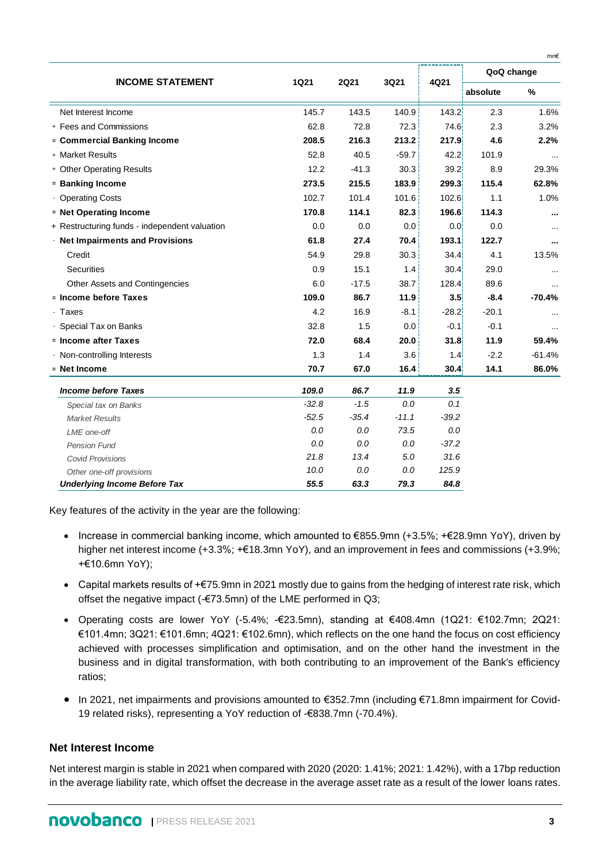| <b>INCOME STATEMENT</b>                       |             |             |         |                   | QoQ change |           |
|-----------------------------------------------|-------------|-------------|---------|-------------------|------------|-----------|
|                                               | <b>1Q21</b> | <b>2Q21</b> | 3Q21    | 4Q21              | absolute   | %         |
| Net Interest Income                           | 145.7       | 143.5       | 140.9   | 143.2             | 2.3        | 1.6%      |
| + Fees and Commissions                        | 62.8        | 72.8        | 72.3    | 74.6              | 2.3        | 3.2%      |
| = Commercial Banking Income                   | 208.5       | 216.3       | 213.2   | 217.9             | 4.6        | 2.2%      |
| + Market Results                              | 52.8        | 40.5        | $-59.7$ | 42.2              | 101.9      |           |
| + Other Operating Results                     | 12.2        | $-41.3$     | 30.3    | 39.2              | 8.9        | 29.3%     |
| = Banking Income                              | 273.5       | 215.5       | 183.9   | 299.3             | 115.4      | 62.8%     |
| - Operating Costs                             | 102.7       | 101.4       | 101.6   | 102.6             | 1.1        | 1.0%      |
| = Net Operating Income                        | 170.8       | 114.1       | 82.3    | 196.6             | 114.3      |           |
| + Restructuring funds - independent valuation | 0.0         | 0.0         | 0.0     | 0.0 <sub>i</sub>  | 0.0        | $\cdots$  |
| - Net Impairments and Provisions              | 61.8        | 27.4        | 70.4    | 193.1             | 122.7      |           |
| Credit                                        | 54.9        | 29.8        | 30.3    | 34.4              | 4.1        | 13.5%     |
| Securities                                    | 0.9         | 15.1        | 1.4     | 30.4              | 29.0       |           |
| Other Assets and Contingencies                | 6.0         | $-17.5$     | 38.7    | 128.4             | 89.6       | $\ddotsc$ |
| = Income before Taxes                         | 109.0       | 86.7        | 11.9    | 3.5 <sub>1</sub>  | $-8.4$     | $-70.4%$  |
| - Taxes                                       | 4.2         | 16.9        | $-8.1$  | $-28.2$           | $-20.1$    |           |
| - Special Tax on Banks                        | 32.8        | 1.5         | 0.0     | $-0.1$            | $-0.1$     | $\cdots$  |
| - Income after Taxes                          | 72.0        | 68.4        | 20.0    | 31.8              | 11.9       | 59.4%     |
| - Non-controlling Interests                   | 1.3         | 1.4         | 3.6     | 1.4 <sup>1</sup>  | $-2.2$     | $-61.4%$  |
| = Net Income                                  | 70.7        | 67.0        | 16.4    | 30.4 <sup>1</sup> | 14.1       | 86.0%     |
| <b>Income before Taxes</b>                    | 109.0       | 86.7        | 11.9    | 3.5               |            |           |
| Special tax on Banks                          | $-32.8$     | $-1.5$      | $0.0\,$ | 0.1               |            |           |
| <b>Market Results</b>                         | $-52.5$     | $-35.4$     | $-11.1$ | $-39.2$           |            |           |
| LME one-off                                   | 0.0         | 0.0         | 73.5    | 0.0               |            |           |
| <b>Pension Fund</b>                           | 0.0         | 0.0         | 0.0     | $-37.2$           |            |           |
| <b>Covid Provisions</b>                       | 21.8        | 13.4        | 5.0     | 31.6              |            |           |
| Other one-off provisions                      | 10.0        | 0.0         | 0.0     | 125.9             |            |           |
| <b>Underlying Income Before Tax</b>           | 55.5        | 63.3        | 79.3    | 84.8              |            |           |

Key features of the activity in the year are the following:

- Increase in commercial banking income, which amounted to €855.9mn (+3.5%; +€28.9mn YoY), driven by higher net interest income (+3.3%; +€18.3mn YoY), and an improvement in fees and commissions (+3.9%; +€10.6mn YoY);
- Capital markets results of +€75.9mn in 2021 mostly due to gains from the hedging of interest rate risk, which offset the negative impact (-€73.5mn) of the LME performed in Q3;
- Operating costs are lower YoY (-5.4%; -€23.5mn), standing at €408.4mn (1Q21: €102.7mn; 2Q21: €101.4mn; 3Q21: €101.6mn; 4Q21: €102.6mn), which reflects on the one hand the focus on cost efficiency achieved with processes simplification and optimisation, and on the other hand the investment in the business and in digital transformation, with both contributing to an improvement of the Bank's efficiency ratios;
- In 2021, net impairments and provisions amounted to €352.7mn (including €71.8mn impairment for Covid-19 related risks), representing a YoY reduction of -€838.7mn (-70.4%).

### **Net Interest Income**

Net interest margin is stable in 2021 when compared with 2020 (2020: 1.41%; 2021: 1.42%), with a 17bp reduction in the average liability rate, which offset the decrease in the average asset rate as a result of the lower loans rates.

mn€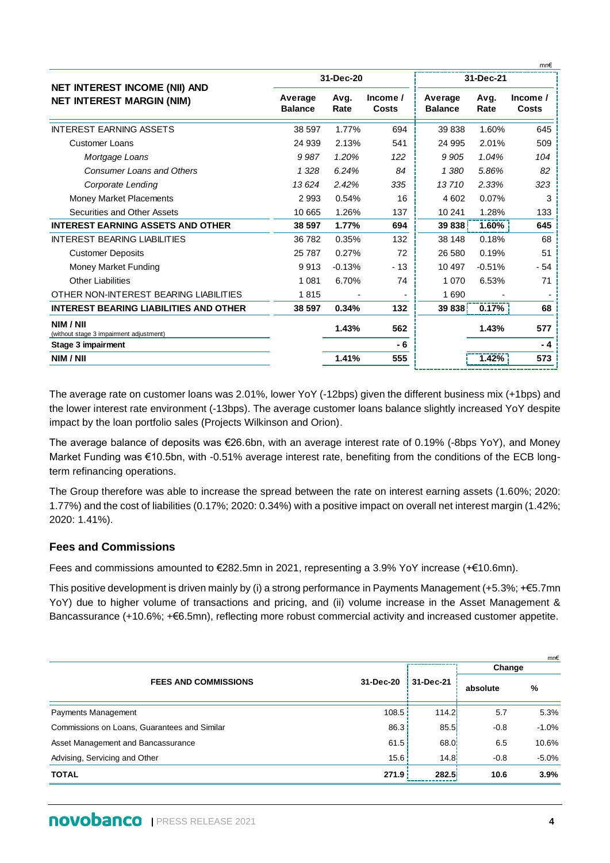|                           | 31-Dec-20    |                   |                           | mn€<br>31-Dec-21 |                         |  |
|---------------------------|--------------|-------------------|---------------------------|------------------|-------------------------|--|
| Average<br><b>Balance</b> | Avq.<br>Rate | Income /<br>Costs | Average<br><b>Balance</b> | Avg.<br>Rate     | Income /<br>Costs       |  |
| 38 597                    | 1.77%        | 694               | 39838                     | 1.60%            | 645                     |  |
| 24 939                    | 2.13%        | 541               | 24 995                    | 2.01%            | 509                     |  |
| 9987                      | 1.20%        | 122               | 9 9 0 5                   | 1.04%            | 104                     |  |
| 1 3 2 8                   | 6.24%        | 84                | 1 380                     | 5.86%            | 82                      |  |
| 13624                     | 2.42%        | 335               | 13710                     | 2.33%            | 323                     |  |
| 2 9 9 3                   | 0.54%        | 16                | 4602                      | 0.07%            | 3                       |  |
| 10 665                    | 1.26%        | 137               | 10 241                    | 1.28%            | 133                     |  |
| 38 597                    | 1.77%        | 694               | 39 838                    |                  | 645                     |  |
| 36 782                    | 0.35%        | 132               | 38 148                    | 0.18%            | 68                      |  |
| 25 787                    | 0.27%        | 72                | 26 580                    | 0.19%            | 51                      |  |
| 9913                      | $-0.13%$     | $-13$             | 10 497                    | $-0.51%$         | - 54                    |  |
| 1 0 8 1                   | 6.70%        | 74                | 1 0 7 0                   | 6.53%            | 71                      |  |
| 1815                      |              |                   | 1690                      |                  |                         |  |
| 38 597                    | 0.34%        | 132               | 39 838                    |                  | 68                      |  |
|                           | 1.43%        | 562               |                           | 1.43%            | 577                     |  |
|                           |              | - 6               |                           |                  | - 4                     |  |
|                           | 1.41%        | 555               |                           |                  | 573                     |  |
|                           |              |                   |                           |                  | 1.60%<br>0.17%<br>1.42% |  |

The average rate on customer loans was 2.01%, lower YoY (-12bps) given the different business mix (+1bps) and the lower interest rate environment (-13bps). The average customer loans balance slightly increased YoY despite impact by the loan portfolio sales (Projects Wilkinson and Orion).

The average balance of deposits was €26.6bn, with an average interest rate of 0.19% (-8bps YoY), and Money Market Funding was €10.5bn, with -0.51% average interest rate, benefiting from the conditions of the ECB longterm refinancing operations.

The Group therefore was able to increase the spread between the rate on interest earning assets (1.60%; 2020: 1.77%) and the cost of liabilities (0.17%; 2020: 0.34%) with a positive impact on overall net interest margin (1.42%; 2020: 1.41%).

### **Fees and Commissions**

Fees and commissions amounted to €282.5mn in 2021, representing a 3.9% YoY increase (+€10.6mn).

This positive development is driven mainly by (i) a strong performance in Payments Management (+5.3%; +€5.7mn YoY) due to higher volume of transactions and pricing, and (ii) volume increase in the Asset Management & Bancassurance (+10.6%; +€6.5mn), reflecting more robust commercial activity and increased customer appetite.

|                                              |           |                    |          | mn€     |
|----------------------------------------------|-----------|--------------------|----------|---------|
|                                              |           |                    | Change   |         |
| <b>FEES AND COMMISSIONS</b>                  | 31-Dec-20 | 31-Dec-21          | absolute | %       |
| Payments Management                          | 108.5     | 114.2 <sup>1</sup> | 5.7      | 5.3%    |
| Commissions on Loans, Guarantees and Similar | 86.3      | 85.5               | $-0.8$   | $-1.0%$ |
| Asset Management and Bancassurance           | 61.5      | 68.0               | 6.5      | 10.6%   |
| Advising, Servicing and Other                | 15.6      | 14.8 <sup>1</sup>  | $-0.8$   | $-5.0%$ |
| <b>TOTAL</b>                                 | 271.9     | 282.5              | 10.6     | 3.9%    |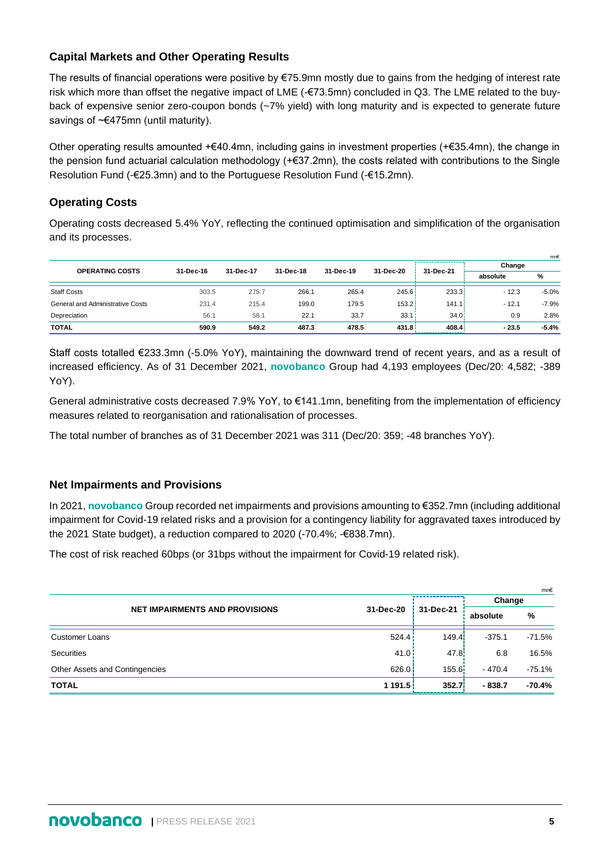### **Capital Markets and Other Operating Results**

The results of financial operations were positive by €75.9mn mostly due to gains from the hedging of interest rate risk which more than offset the negative impact of LME (-€73.5mn) concluded in Q3. The LME related to the buyback of expensive senior zero-coupon bonds (~7% yield) with long maturity and is expected to generate future savings of ~€475mn (until maturity).

Other operating results amounted +€40.4mn, including gains in investment properties (+€35.4mn), the change in the pension fund actuarial calculation methodology (+€37.2mn), the costs related with contributions to the Single Resolution Fund (-€25.3mn) and to the Portuguese Resolution Fund (-€15.2mn).

### **Operating Costs**

Operating costs decreased 5.4% YoY, reflecting the continued optimisation and simplification of the organisation and its processes.

|                                  |           |           |           |           |           |                   |          | mn€     |
|----------------------------------|-----------|-----------|-----------|-----------|-----------|-------------------|----------|---------|
| <b>OPERATING COSTS</b>           | 31-Dec-16 | 31-Dec-17 | 31-Dec-18 | 31-Dec-19 | 31-Dec-20 | 31-Dec-21         | Change   |         |
|                                  |           |           |           |           |           |                   | absolute | %       |
| <b>Staff Costs</b>               | 303.5     | 275.7     | 266.1     | 265.4     | 245.6     | 233.3             | $-12.3$  | $-5.0%$ |
| General and Administrative Costs | 231.4     | 215.4     | 199.0     | 179.5     | 153.2     | 141.1             | $-12.1$  | $-7.9%$ |
| Depreciation                     | 56.1      | 58.1      | 22.1      | 33.7      | 33.1      | 34.0 <sub>i</sub> | 0.9      | 2.8%    |
| <b>TOTAL</b>                     | 590.9     | 549.2     | 487.3     | 478.5     | 431.8     | 408.4             | $-23.5$  | $-5.4%$ |

Staff costs totalled €233.3mn (-5.0% YoY), maintaining the downward trend of recent years, and as a result of increased efficiency. As of 31 December 2021, **novobanco** Group had 4,193 employees (Dec/20: 4,582; -389 YoY).

General administrative costs decreased 7.9% YoY, to €141.1mn, benefiting from the implementation of efficiency measures related to reorganisation and rationalisation of processes.

The total number of branches as of 31 December 2021 was 311 (Dec/20: 359; -48 branches YoY).

### **Net Impairments and Provisions**

In 2021, **novobanco** Group recorded net impairments and provisions amounting to €352.7mn (including additional impairment for Covid-19 related risks and a provision for a contingency liability for aggravated taxes introduced by the 2021 State budget), a reduction compared to 2020 (-70.4%; -€838.7mn).

The cost of risk reached 60bps (or 31bps without the impairment for Covid-19 related risk).

|                                       |           |                    |          | mn€      |
|---------------------------------------|-----------|--------------------|----------|----------|
|                                       |           |                    | Change   |          |
| <b>NET IMPAIRMENTS AND PROVISIONS</b> | 31-Dec-20 | 31-Dec-21          | absolute | %        |
| <b>Customer Loans</b>                 | 524.4     | 149.4 <sup>1</sup> | $-375.1$ | $-71.5%$ |
| Securities                            | 41.0      | 47.81              | 6.8      | 16.5%    |
| Other Assets and Contingencies        | 626.0     | 155.6              | - 470.4  | $-75.1%$ |
| <b>TOTAL</b>                          | 1 191.5   | 352.7              | $-838.7$ | $-70.4%$ |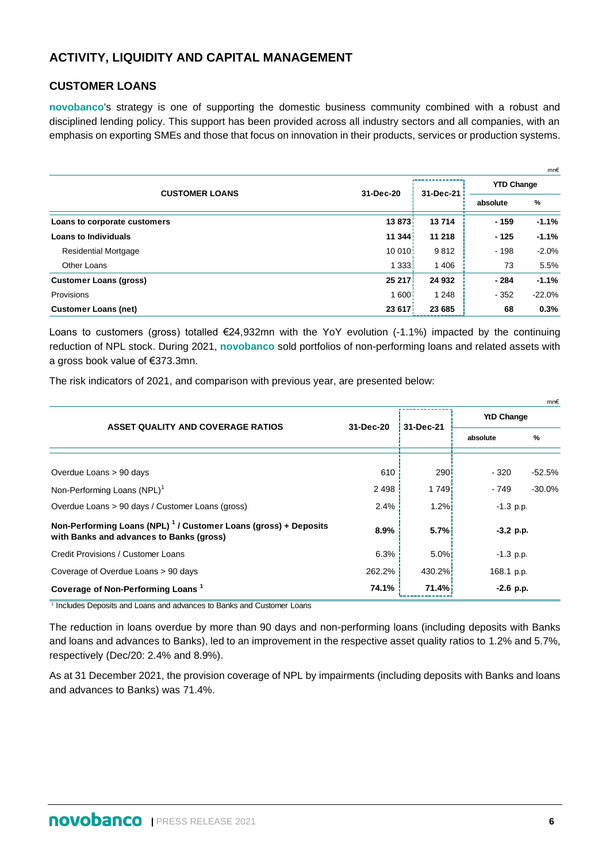### **ACTIVITY, LIQUIDITY AND CAPITAL MANAGEMENT**

### **CUSTOMER LOANS**

**novobanco**'s strategy is one of supporting the domestic business community combined with a robust and disciplined lending policy. This support has been provided across all industry sectors and all companies, with an emphasis on exporting SMEs and those that focus on innovation in their products, services or production systems.

|                               |                   |           |                   | mn€     |
|-------------------------------|-------------------|-----------|-------------------|---------|
| <b>CUSTOMER LOANS</b>         | 31-Dec-20         |           | <b>YTD Change</b> |         |
|                               |                   | 31-Dec-21 | absolute          | %       |
| Loans to corporate customers  | 13 873            | 13714     | $-159$            | $-1.1%$ |
| <b>Loans to Individuals</b>   | 11344             | 11 218    | $-125$            | $-1.1%$ |
| <b>Residential Mortgage</b>   | 10 010            | 9812      | $-198$            | $-2.0%$ |
| Other Loans                   | 13331             | 1406      | 73                | 5.5%    |
| <b>Customer Loans (gross)</b> | 25 217            | 24 932    | $-284$            | $-1.1%$ |
| Provisions                    | 1600 <sup>1</sup> | 1 2 4 8   | $-352$            | -22.0%  |
| <b>Customer Loans (net)</b>   | 23 617            | 23 685    | 68                | 0.3%    |

Loans to customers (gross) totalled €24,932mn with the YoY evolution (-1.1%) impacted by the continuing reduction of NPL stock. During 2021, **novobanco** sold portfolios of non-performing loans and related assets with a gross book value of €373.3mn.

The risk indicators of 2021, and comparison with previous year, are presented below:

|                                                                                                                         |           |                    |                   | mn€      |
|-------------------------------------------------------------------------------------------------------------------------|-----------|--------------------|-------------------|----------|
| ASSET QUALITY AND COVERAGE RATIOS                                                                                       |           | 31-Dec-21          | <b>YtD Change</b> |          |
|                                                                                                                         | 31-Dec-20 |                    | absolute          | %        |
| Overdue Loans > 90 days                                                                                                 | 610       | 290 <sup>1</sup>   | - 320             | -52.5%   |
| Non-Performing Loans (NPL) <sup>1</sup>                                                                                 | 2498      | 1 749 <sup>i</sup> | - 749             | $-30.0%$ |
| Overdue Loans > 90 days / Customer Loans (gross)                                                                        | 2.4%      | 1.2%               | $-1.3$ p.p.       |          |
| Non-Performing Loans (NPL) <sup>1</sup> / Customer Loans (gross) + Deposits<br>with Banks and advances to Banks (gross) | 8.9%      | 5.7%               | $-3.2$ p.p.       |          |
| Credit Provisions / Customer Loans                                                                                      | 6.3%      | $5.0\%$            | $-1.3$ p.p.       |          |
| Coverage of Overdue Loans > 90 days                                                                                     | 262.2%    | 430.2%             | 168.1 p.p.        |          |
| Coverage of Non-Performing Loans <sup>1</sup>                                                                           | 74.1%     | 71.4%              | $-2.6$ p.p.       |          |

<sup>1</sup> Includes Deposits and Loans and advances to Banks and Customer Loans

The reduction in loans overdue by more than 90 days and non-performing loans (including deposits with Banks and loans and advances to Banks), led to an improvement in the respective asset quality ratios to 1.2% and 5.7%, respectively (Dec/20: 2.4% and 8.9%).

As at 31 December 2021, the provision coverage of NPL by impairments (including deposits with Banks and loans and advances to Banks) was 71.4%.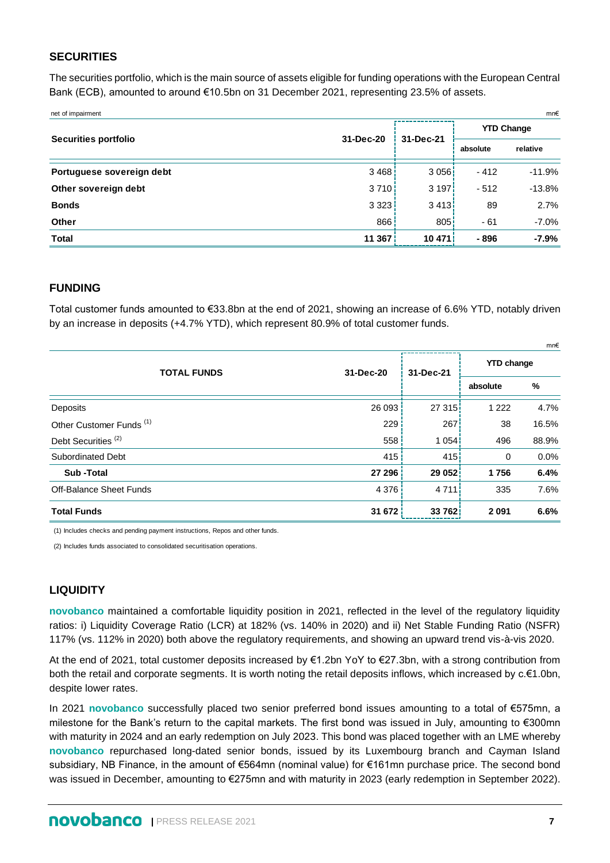### **SECURITIES**

The securities portfolio, which is the main source of assets eligible for funding operations with the European Central Bank (ECB), amounted to around €10.5bn on 31 December 2021, representing 23.5% of assets.

| net of impairment         |           |                   |                   | mn€      |
|---------------------------|-----------|-------------------|-------------------|----------|
| Securities portfolio      | 31-Dec-20 | 31-Dec-21         | <b>YTD Change</b> |          |
|                           |           |                   | absolute          | relative |
| Portuguese sovereign debt | 3468      | 3056!             | $-412$            | $-11.9%$ |
| Other sovereign debt      | 3710      | 3197              | $-512$            | $-13.8%$ |
| <b>Bonds</b>              | 3323      | 3413 <sup>1</sup> | 89                | 2.7%     |
| <b>Other</b>              | 866       | 805!              | - 61              | $-7.0\%$ |
| <b>Total</b>              | 11 367    | 10471             | - 896             | $-7.9%$  |

### **FUNDING**

Total customer funds amounted to €33.8bn at the end of 2021, showing an increase of 6.6% YTD, notably driven by an increase in deposits (+4.7% YTD), which represent 80.9% of total customer funds.

|                                     |           |           |                   | mn€     |
|-------------------------------------|-----------|-----------|-------------------|---------|
| <b>TOTAL FUNDS</b>                  | 31-Dec-20 | 31-Dec-21 | <b>YTD change</b> |         |
|                                     |           |           | absolute          | %       |
| Deposits                            | 26 093    | 27315     | 1 2 2 2           | 4.7%    |
| Other Customer Funds <sup>(1)</sup> | 229       | 267       | 38                | 16.5%   |
| Debt Securities <sup>(2)</sup>      | 558       | 1054      | 496               | 88.9%   |
| <b>Subordinated Debt</b>            | 415       | 415!      | 0                 | $0.0\%$ |
| <b>Sub-Total</b>                    | 27 29 6   | 29052     | 1756              | 6.4%    |
| <b>Off-Balance Sheet Funds</b>      | 4 3 7 6   | 4 7 1 1   | 335               | 7.6%    |
| <b>Total Funds</b>                  | 31 672    | 33762     | 2091              | 6.6%    |

(1) Includes checks and pending payment instructions, Repos and other funds.

(2) Includes funds associated to consolidated securitisation operations.

# **LIQUIDITY**

**novobanco** maintained a comfortable liquidity position in 2021, reflected in the level of the regulatory liquidity ratios: i) Liquidity Coverage Ratio (LCR) at 182% (vs. 140% in 2020) and ii) Net Stable Funding Ratio (NSFR) 117% (vs. 112% in 2020) both above the regulatory requirements, and showing an upward trend vis-à-vis 2020.

At the end of 2021, total customer deposits increased by €1.2bn YoY to €27.3bn, with a strong contribution from both the retail and corporate segments. It is worth noting the retail deposits inflows, which increased by c.€1.0bn, despite lower rates.

In 2021 **novobanco** successfully placed two senior preferred bond issues amounting to a total of €575mn, a milestone for the Bank's return to the capital markets. The first bond was issued in July, amounting to €300mn with maturity in 2024 and an early redemption on July 2023. This bond was placed together with an LME whereby **novobanco** repurchased long-dated senior bonds, issued by its Luxembourg branch and Cayman Island subsidiary, NB Finance, in the amount of €564mn (nominal value) for €161mn purchase price. The second bond was issued in December, amounting to €275mn and with maturity in 2023 (early redemption in September 2022).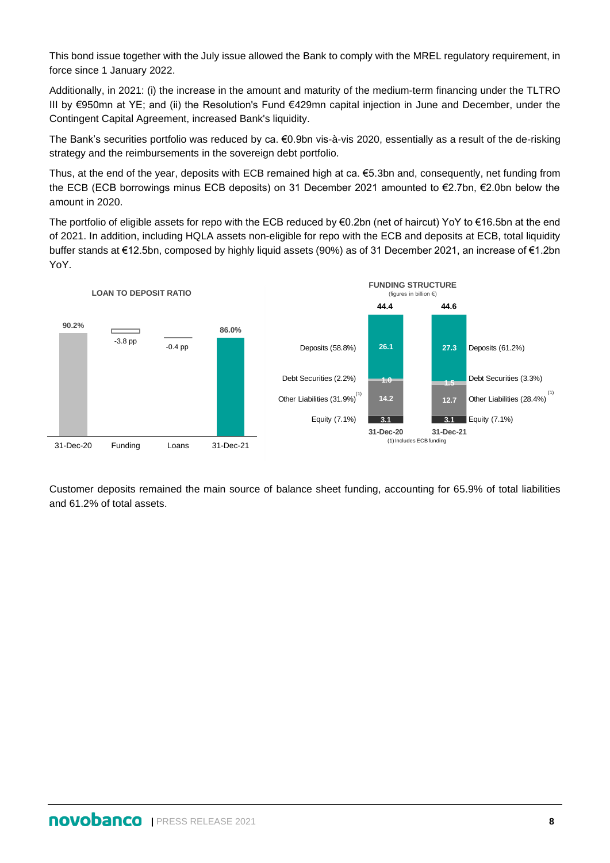This bond issue together with the July issue allowed the Bank to comply with the MREL regulatory requirement, in force since 1 January 2022.

Additionally, in 2021: (i) the increase in the amount and maturity of the medium-term financing under the TLTRO III by €950mn at YE; and (ii) the Resolution's Fund €429mn capital injection in June and December, under the Contingent Capital Agreement, increased Bank's liquidity.

The Bank's securities portfolio was reduced by ca. €0.9bn vis-à-vis 2020, essentially as a result of the de-risking strategy and the reimbursements in the sovereign debt portfolio.

Thus, at the end of the year, deposits with ECB remained high at ca. €5.3bn and, consequently, net funding from the ECB (ECB borrowings minus ECB deposits) on 31 December 2021 amounted to €2.7bn, €2.0bn below the amount in 2020.

The portfolio of eligible assets for repo with the ECB reduced by €0.2bn (net of haircut) YoY to €16.5bn at the end of 2021. In addition, including HQLA assets non-eligible for repo with the ECB and deposits at ECB, total liquidity buffer stands at €12.5bn, composed by highly liquid assets (90%) as of 31 December 2021, an increase of €1.2bn YoY.



Customer deposits remained the main source of balance sheet funding, accounting for 65.9% of total liabilities and 61.2% of total assets.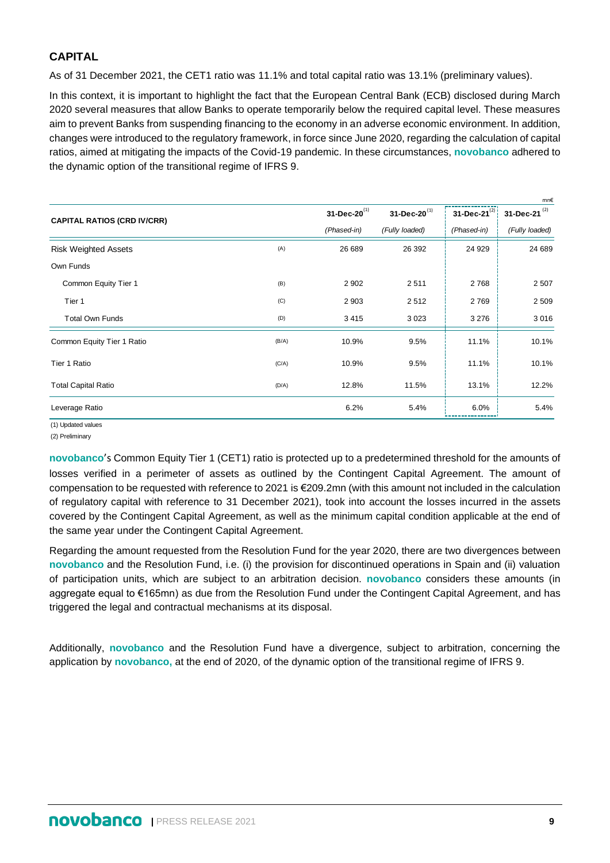### **CAPITAL**

As of 31 December 2021, the CET1 ratio was 11.1% and total capital ratio was 13.1% (preliminary values).

In this context, it is important to highlight the fact that the European Central Bank (ECB) disclosed during March 2020 several measures that allow Banks to operate temporarily below the required capital level. These measures aim to prevent Banks from suspending financing to the economy in an adverse economic environment. In addition, changes were introduced to the regulatory framework, in force since June 2020, regarding the calculation of capital ratios, aimed at mitigating the impacts of the Covid-19 pandemic. In these circumstances, **novobanco** adhered to the dynamic option of the transitional regime of IFRS 9.

|                                    |       |                       |                    |              | mn€                |
|------------------------------------|-------|-----------------------|--------------------|--------------|--------------------|
| <b>CAPITAL RATIOS (CRD IV/CRR)</b> |       | $31 - Dec - 20^{(1)}$ | 31-Dec-20 $^{(1)}$ | 31-Dec-21(2) | 31-Dec-21 $^{(2)}$ |
|                                    |       | (Phased-in)           | (Fully loaded)     | (Phased-in)  | (Fully loaded)     |
| <b>Risk Weighted Assets</b>        | (A)   | 26 689                | 26 392             | 24 9 29      | 24 689             |
| Own Funds                          |       |                       |                    |              |                    |
| Common Equity Tier 1               | (B)   | 2 9 0 2               | 2511               | 2768         | 2507               |
| Tier 1                             | (C)   | 2903                  | 2512               | 2769         | 2 5 0 9            |
| <b>Total Own Funds</b>             | (D)   | 3415                  | 3023               | 3 2 7 6      | 3016               |
| Common Equity Tier 1 Ratio         | (B/A) | 10.9%                 | 9.5%               | 11.1%        | 10.1%              |
| Tier 1 Ratio                       | (C/A) | 10.9%                 | 9.5%               | 11.1%        | 10.1%              |
| <b>Total Capital Ratio</b>         | (D/A) | 12.8%                 | 11.5%              | 13.1%        | 12.2%              |
| Leverage Ratio                     |       | 6.2%                  | 5.4%               | 6.0%         | 5.4%               |

(1) Updated values

(2) Preliminary

**novobanco**'s Common Equity Tier 1 (CET1) ratio is protected up to a predetermined threshold for the amounts of losses verified in a perimeter of assets as outlined by the Contingent Capital Agreement. The amount of compensation to be requested with reference to 2021 is €209.2mn (with this amount not included in the calculation of regulatory capital with reference to 31 December 2021), took into account the losses incurred in the assets covered by the Contingent Capital Agreement, as well as the minimum capital condition applicable at the end of the same year under the Contingent Capital Agreement.

Regarding the amount requested from the Resolution Fund for the year 2020, there are two divergences between **novobanco** and the Resolution Fund, i.e. (i) the provision for discontinued operations in Spain and (ii) valuation of participation units, which are subject to an arbitration decision. **novobanco** considers these amounts (in aggregate equal to €165mn) as due from the Resolution Fund under the Contingent Capital Agreement, and has triggered the legal and contractual mechanisms at its disposal.

Additionally, **novobanco** and the Resolution Fund have a divergence, subject to arbitration, concerning the application by **novobanco,** at the end of 2020, of the dynamic option of the transitional regime of IFRS 9.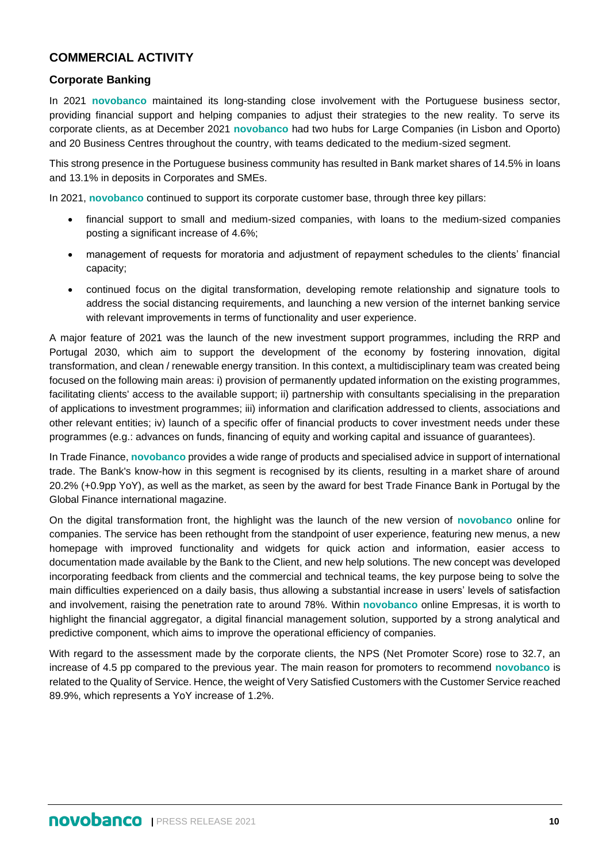### **COMMERCIAL ACTIVITY**

### **Corporate Banking**

In 2021 **novobanco** maintained its long-standing close involvement with the Portuguese business sector, providing financial support and helping companies to adjust their strategies to the new reality. To serve its corporate clients, as at December 2021 **novobanco** had two hubs for Large Companies (in Lisbon and Oporto) and 20 Business Centres throughout the country, with teams dedicated to the medium-sized segment.

This strong presence in the Portuguese business community has resulted in Bank market shares of 14.5% in loans and 13.1% in deposits in Corporates and SMEs.

In 2021, **novobanco** continued to support its corporate customer base, through three key pillars:

- financial support to small and medium-sized companies, with loans to the medium-sized companies posting a significant increase of 4.6%;
- management of requests for moratoria and adjustment of repayment schedules to the clients' financial capacity;
- continued focus on the digital transformation, developing remote relationship and signature tools to address the social distancing requirements, and launching a new version of the internet banking service with relevant improvements in terms of functionality and user experience.

A major feature of 2021 was the launch of the new investment support programmes, including the RRP and Portugal 2030, which aim to support the development of the economy by fostering innovation, digital transformation, and clean / renewable energy transition. In this context, a multidisciplinary team was created being focused on the following main areas: i) provision of permanently updated information on the existing programmes, facilitating clients' access to the available support; ii) partnership with consultants specialising in the preparation of applications to investment programmes; iii) information and clarification addressed to clients, associations and other relevant entities; iv) launch of a specific offer of financial products to cover investment needs under these programmes (e.g.: advances on funds, financing of equity and working capital and issuance of guarantees).

In Trade Finance, **novobanco** provides a wide range of products and specialised advice in support of international trade. The Bank's know-how in this segment is recognised by its clients, resulting in a market share of around 20.2% (+0.9pp YoY), as well as the market, as seen by the award for best Trade Finance Bank in Portugal by the Global Finance international magazine.

On the digital transformation front, the highlight was the launch of the new version of **novobanco** online for companies. The service has been rethought from the standpoint of user experience, featuring new menus, a new homepage with improved functionality and widgets for quick action and information, easier access to documentation made available by the Bank to the Client, and new help solutions. The new concept was developed incorporating feedback from clients and the commercial and technical teams, the key purpose being to solve the main difficulties experienced on a daily basis, thus allowing a substantial increase in users' levels of satisfaction and involvement, raising the penetration rate to around 78%. Within **novobanco** online Empresas, it is worth to highlight the financial aggregator, a digital financial management solution, supported by a strong analytical and predictive component, which aims to improve the operational efficiency of companies.

With regard to the assessment made by the corporate clients, the NPS (Net Promoter Score) rose to 32.7, an increase of 4.5 pp compared to the previous year. The main reason for promoters to recommend **novobanco** is related to the Quality of Service. Hence, the weight of Very Satisfied Customers with the Customer Service reached 89.9%, which represents a YoY increase of 1.2%.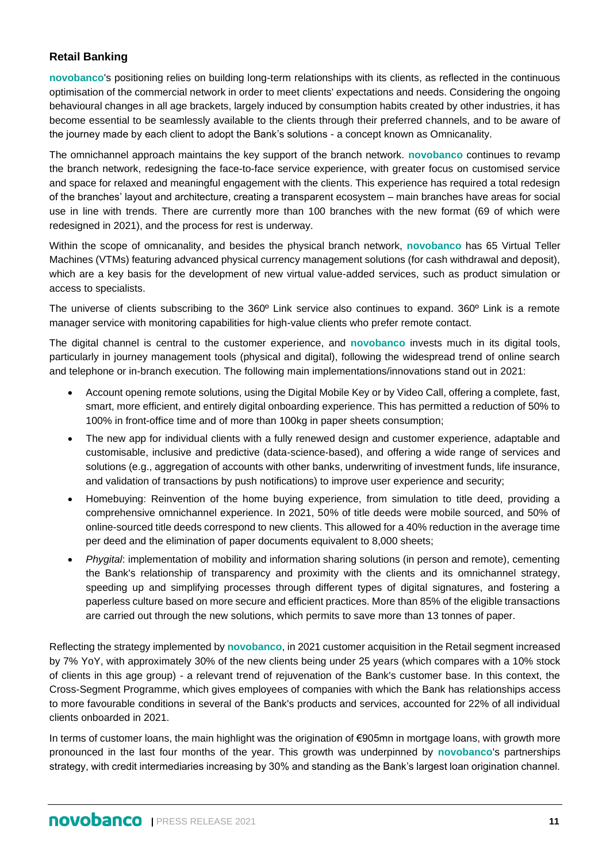### **Retail Banking**

**novobanco**'s positioning relies on building long-term relationships with its clients, as reflected in the continuous optimisation of the commercial network in order to meet clients' expectations and needs. Considering the ongoing behavioural changes in all age brackets, largely induced by consumption habits created by other industries, it has become essential to be seamlessly available to the clients through their preferred channels, and to be aware of the journey made by each client to adopt the Bank's solutions - a concept known as Omnicanality.

The omnichannel approach maintains the key support of the branch network. **novobanco** continues to revamp the branch network, redesigning the face-to-face service experience, with greater focus on customised service and space for relaxed and meaningful engagement with the clients. This experience has required a total redesign of the branches' layout and architecture, creating a transparent ecosystem – main branches have areas for social use in line with trends. There are currently more than 100 branches with the new format (69 of which were redesigned in 2021), and the process for rest is underway.

Within the scope of omnicanality, and besides the physical branch network, **novobanco** has 65 Virtual Teller Machines (VTMs) featuring advanced physical currency management solutions (for cash withdrawal and deposit), which are a key basis for the development of new virtual value-added services, such as product simulation or access to specialists.

The universe of clients subscribing to the 360º Link service also continues to expand. 360º Link is a remote manager service with monitoring capabilities for high-value clients who prefer remote contact.

The digital channel is central to the customer experience, and **novobanco** invests much in its digital tools, particularly in journey management tools (physical and digital), following the widespread trend of online search and telephone or in-branch execution. The following main implementations/innovations stand out in 2021:

- Account opening remote solutions, using the Digital Mobile Key or by Video Call, offering a complete, fast, smart, more efficient, and entirely digital onboarding experience. This has permitted a reduction of 50% to 100% in front-office time and of more than 100kg in paper sheets consumption;
- The new app for individual clients with a fully renewed design and customer experience, adaptable and customisable, inclusive and predictive (data-science-based), and offering a wide range of services and solutions (e.g., aggregation of accounts with other banks, underwriting of investment funds, life insurance, and validation of transactions by push notifications) to improve user experience and security;
- Homebuying: Reinvention of the home buying experience, from simulation to title deed, providing a comprehensive omnichannel experience. In 2021, 50% of title deeds were mobile sourced, and 50% of online-sourced title deeds correspond to new clients. This allowed for a 40% reduction in the average time per deed and the elimination of paper documents equivalent to 8,000 sheets;
- *Phygital*: implementation of mobility and information sharing solutions (in person and remote), cementing the Bank's relationship of transparency and proximity with the clients and its omnichannel strategy, speeding up and simplifying processes through different types of digital signatures, and fostering a paperless culture based on more secure and efficient practices. More than 85% of the eligible transactions are carried out through the new solutions, which permits to save more than 13 tonnes of paper.

Reflecting the strategy implemented by **novobanco**, in 2021 customer acquisition in the Retail segment increased by 7% YoY, with approximately 30% of the new clients being under 25 years (which compares with a 10% stock of clients in this age group) - a relevant trend of rejuvenation of the Bank's customer base. In this context, the Cross-Segment Programme, which gives employees of companies with which the Bank has relationships access to more favourable conditions in several of the Bank's products and services, accounted for 22% of all individual clients onboarded in 2021.

In terms of customer loans, the main highlight was the origination of €905mn in mortgage loans, with growth more pronounced in the last four months of the year. This growth was underpinned by **novobanco**'s partnerships strategy, with credit intermediaries increasing by 30% and standing as the Bank's largest loan origination channel.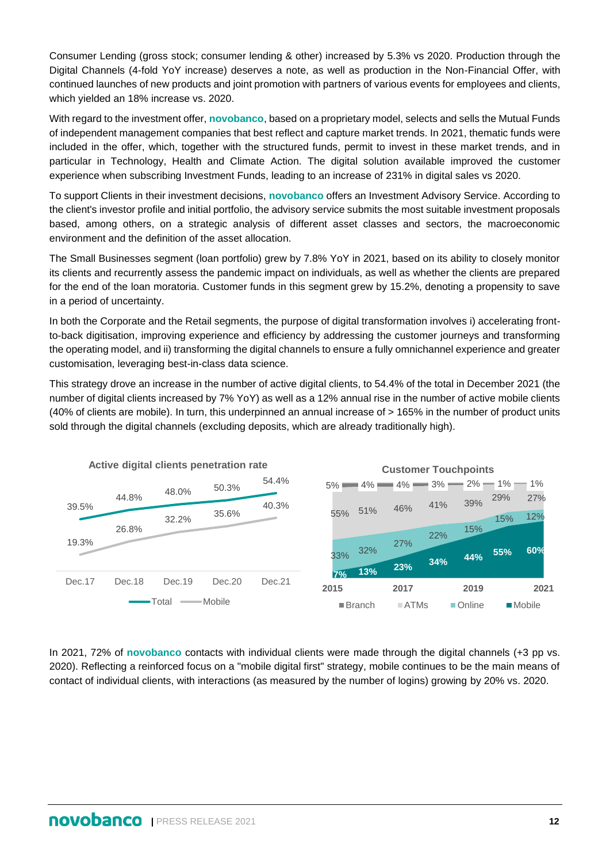Consumer Lending (gross stock; consumer lending & other) increased by 5.3% vs 2020. Production through the Digital Channels (4-fold YoY increase) deserves a note, as well as production in the Non-Financial Offer, with continued launches of new products and joint promotion with partners of various events for employees and clients, which yielded an 18% increase vs. 2020.

With regard to the investment offer, **novobanco**, based on a proprietary model, selects and sells the Mutual Funds of independent management companies that best reflect and capture market trends. In 2021, thematic funds were included in the offer, which, together with the structured funds, permit to invest in these market trends, and in particular in Technology, Health and Climate Action. The digital solution available improved the customer experience when subscribing Investment Funds, leading to an increase of 231% in digital sales vs 2020.

To support Clients in their investment decisions, **novobanco** offers an Investment Advisory Service. According to the client's investor profile and initial portfolio, the advisory service submits the most suitable investment proposals based, among others, on a strategic analysis of different asset classes and sectors, the macroeconomic environment and the definition of the asset allocation.

The Small Businesses segment (loan portfolio) grew by 7.8% YoY in 2021, based on its ability to closely monitor its clients and recurrently assess the pandemic impact on individuals, as well as whether the clients are prepared for the end of the loan moratoria. Customer funds in this segment grew by 15.2%, denoting a propensity to save in a period of uncertainty.

In both the Corporate and the Retail segments, the purpose of digital transformation involves i) accelerating frontto-back digitisation, improving experience and efficiency by addressing the customer journeys and transforming the operating model, and ii) transforming the digital channels to ensure a fully omnichannel experience and greater customisation, leveraging best-in-class data science.

This strategy drove an increase in the number of active digital clients, to 54.4% of the total in December 2021 (the number of digital clients increased by 7% YoY) as well as a 12% annual rise in the number of active mobile clients (40% of clients are mobile). In turn, this underpinned an annual increase of > 165% in the number of product units sold through the digital channels (excluding deposits, which are already traditionally high).



In 2021, 72% of **novobanco** contacts with individual clients were made through the digital channels (+3 pp vs. 2020). Reflecting a reinforced focus on a "mobile digital first" strategy, mobile continues to be the main means of contact of individual clients, with interactions (as measured by the number of logins) growing by 20% vs. 2020.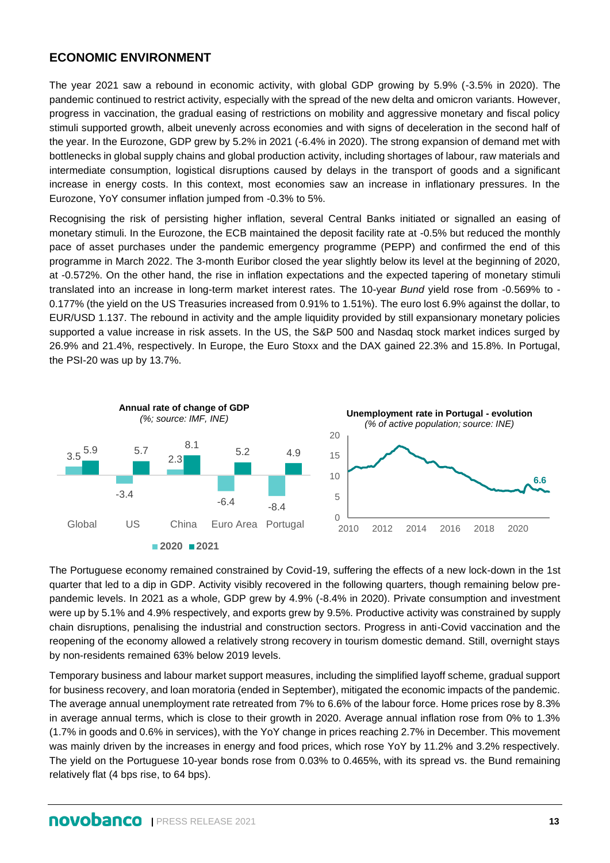### **ECONOMIC ENVIRONMENT**

The year 2021 saw a rebound in economic activity, with global GDP growing by 5.9% (-3.5% in 2020). The pandemic continued to restrict activity, especially with the spread of the new delta and omicron variants. However, progress in vaccination, the gradual easing of restrictions on mobility and aggressive monetary and fiscal policy stimuli supported growth, albeit unevenly across economies and with signs of deceleration in the second half of the year. In the Eurozone, GDP grew by 5.2% in 2021 (-6.4% in 2020). The strong expansion of demand met with bottlenecks in global supply chains and global production activity, including shortages of labour, raw materials and intermediate consumption, logistical disruptions caused by delays in the transport of goods and a significant increase in energy costs. In this context, most economies saw an increase in inflationary pressures. In the Eurozone, YoY consumer inflation jumped from -0.3% to 5%.

Recognising the risk of persisting higher inflation, several Central Banks initiated or signalled an easing of monetary stimuli. In the Eurozone, the ECB maintained the deposit facility rate at -0.5% but reduced the monthly pace of asset purchases under the pandemic emergency programme (PEPP) and confirmed the end of this programme in March 2022. The 3-month Euribor closed the year slightly below its level at the beginning of 2020, at -0.572%. On the other hand, the rise in inflation expectations and the expected tapering of monetary stimuli translated into an increase in long-term market interest rates. The 10-year *Bund* yield rose from -0.569% to - 0.177% (the yield on the US Treasuries increased from 0.91% to 1.51%). The euro lost 6.9% against the dollar, to EUR/USD 1.137. The rebound in activity and the ample liquidity provided by still expansionary monetary policies supported a value increase in risk assets. In the US, the S&P 500 and Nasdaq stock market indices surged by 26.9% and 21.4%, respectively. In Europe, the Euro Stoxx and the DAX gained 22.3% and 15.8%. In Portugal, the PSI-20 was up by 13.7%.



The Portuguese economy remained constrained by Covid-19, suffering the effects of a new lock-down in the 1st quarter that led to a dip in GDP. Activity visibly recovered in the following quarters, though remaining below prepandemic levels. In 2021 as a whole, GDP grew by 4.9% (-8.4% in 2020). Private consumption and investment were up by 5.1% and 4.9% respectively, and exports grew by 9.5%. Productive activity was constrained by supply chain disruptions, penalising the industrial and construction sectors. Progress in anti-Covid vaccination and the reopening of the economy allowed a relatively strong recovery in tourism domestic demand. Still, overnight stays by non-residents remained 63% below 2019 levels.

Temporary business and labour market support measures, including the simplified layoff scheme, gradual support for business recovery, and loan moratoria (ended in September), mitigated the economic impacts of the pandemic. The average annual unemployment rate retreated from 7% to 6.6% of the labour force. Home prices rose by 8.3% in average annual terms, which is close to their growth in 2020. Average annual inflation rose from 0% to 1.3% (1.7% in goods and 0.6% in services), with the YoY change in prices reaching 2.7% in December. This movement was mainly driven by the increases in energy and food prices, which rose YoY by 11.2% and 3.2% respectively. The yield on the Portuguese 10-year bonds rose from 0.03% to 0.465%, with its spread vs. the Bund remaining relatively flat (4 bps rise, to 64 bps).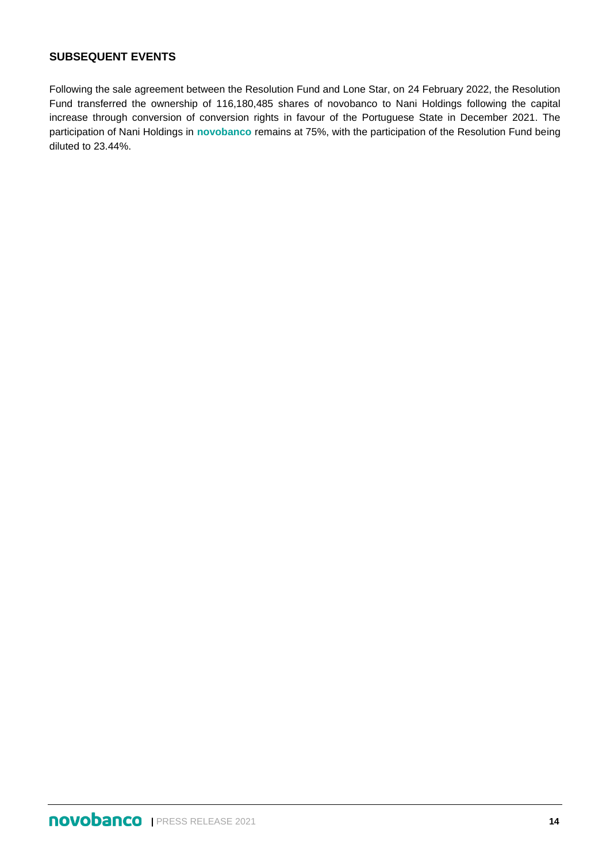### **SUBSEQUENT EVENTS**

Following the sale agreement between the Resolution Fund and Lone Star, on 24 February 2022, the Resolution Fund transferred the ownership of 116,180,485 shares of novobanco to Nani Holdings following the capital increase through conversion of conversion rights in favour of the Portuguese State in December 2021. The participation of Nani Holdings in **novobanco** remains at 75%, with the participation of the Resolution Fund being diluted to 23.44%.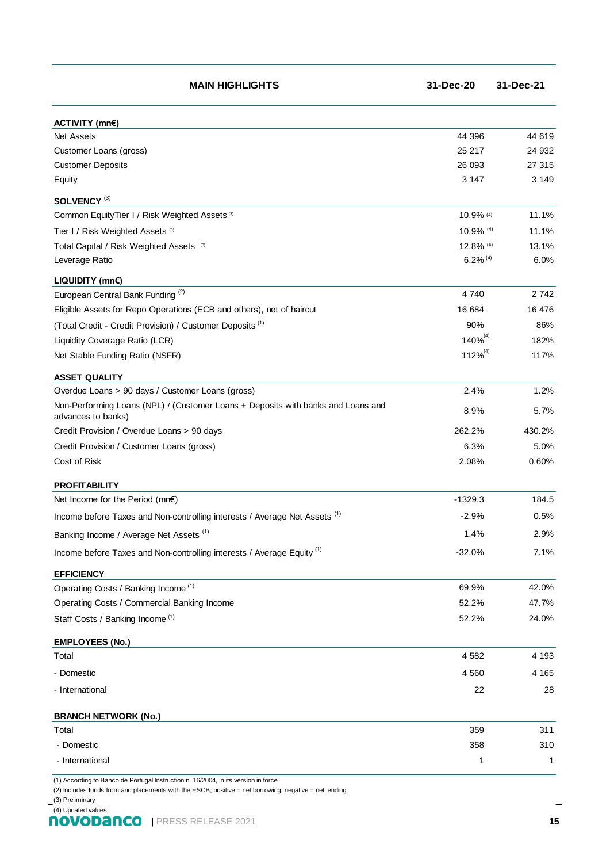**MAIN HIGHLIGHTS 31-Dec-20 31-Dec-21 ACTIVITY (mn€)** Net Assets 44 396 44 619 Customer Loans (gross) 25 217 24 932 Customer Deposits 26 093 27 315 Equity 3 147 3 149 **SOLVENCY** (3) Common EquityTier I / Risk Weighted Assets (3) 10.9% 10.9% 10.9% 11.1% Tier I / Risk Weighted Assets (3) 2008 12:30 12:30 12:30 12:30 13:30 13:30 13:30 13:40 13:40 14:40 15:30 14:40 Total Capital / Risk Weighted Assets (3) 13.1% 13.1% 12.8% 13.1% 13.1% Leverage Ratio 6.2% 6.0% **LIQUIDITY (mn€)** European Central Bank Funding <sup>(2)</sup> 2742 Eligible Assets for Repo Operations (ECB and others), net of haircut 16 684 16 476 (Total Credit - Credit Provision) / Customer Deposits (1) 90% 86% Liquidity Coverage Ratio (LCR) 140% 182% Net Stable Funding Ratio (NSFR) 112% 117% **ASSET QUALITY** Overdue Loans > 90 days / Customer Loans (gross) 2.4% 1.2% Non-Performing Loans (NPL) / (Customer Loans + Deposits with banks and Loans and advances to banks) 8.9% 5.7% Credit Provision / Overdue Loans > 90 days 262.2% 430.2% Credit Provision / Customer Loans (gross) 6.3% 6.3% 5.0% Cost of Risk 2.08% 0.60% **PROFITABILITY** Net Income for the Period (mn€) 184.5 184.5 Income before Taxes and Non-controlling interests / Average Net Assets (1)  $-2.9\%$  -2.9% 0.5% Banking Income / Average Net Assets<sup>(1)</sup> 1.4% 2.9% Income before Taxes and Non-controlling interests / Average Equity (1)  $\sim$  -32.0% 7.1% **EFFICIENCY** Operating Costs / Banking Income (1) 69.9% 42.0% Operating Costs / Commercial Banking Income 62.2% 62.2% 47.7% Staff Costs / Banking Income (1) 62.2% 24.0% 24.0% 25.2% 24.0% 25.2% 25.2% 25.2% 25.2% 25.2% 25.2% 25.2% 25.2% 25.2% 25.2% 25.2% 25.2% 25.2% 25.2% 25.2% 25.2% 25.2% 25.2% 25.2% 25.2% 25.2% 25.2% 25.2% 25.2% 25.2% 25.2% 25. **EMPLOYEES (No.)** Total 4 582 4 193 - Domestic 4 560 4 165 - International 22 28 **BRANCH NETWORK (No.)** Total 359 311 - Domestic 310 - International 1 1  $140\%^{(4)}$ 112%<sup>(4)</sup>  $6.2\%$ <sup>(4)</sup> 12.8% (4) 10.9% (4) 10.9% (4)

(1) According to Banco de Portugal Instruction n. 16/2004, in its version in force

(2) Includes funds from and placements with the ESCB; positive = net borrowing; negative = net lending

(3) Preliminary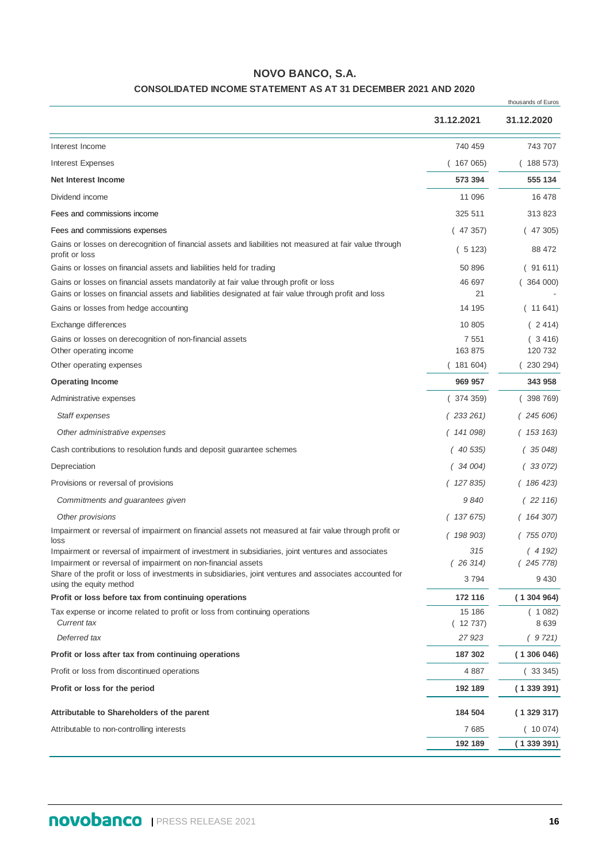### **NOVO BANCO, S.A.**

#### **CONSOLIDATED INCOME STATEMENT AS AT 31 DECEMBER 2021 AND 2020**

|                                                                                                                                                                                              |                   | thousands of Euros |
|----------------------------------------------------------------------------------------------------------------------------------------------------------------------------------------------|-------------------|--------------------|
|                                                                                                                                                                                              | 31.12.2021        | 31.12.2020         |
| Interest Income                                                                                                                                                                              | 740 459           | 743 707            |
| <b>Interest Expenses</b>                                                                                                                                                                     | (167065)          | 188 573)           |
| Net Interest Income                                                                                                                                                                          | 573 394           | 555 134            |
| Dividend income                                                                                                                                                                              | 11 096            | 16 478             |
| Fees and commissions income                                                                                                                                                                  | 325 511           | 313 823            |
| Fees and commissions expenses                                                                                                                                                                | (47357)           | (47305)            |
| Gains or losses on derecognition of financial assets and liabilities not measured at fair value through<br>profit or loss                                                                    | (5123)            | 88 472             |
| Gains or losses on financial assets and liabilities held for trading                                                                                                                         | 50 896            | 91 611)            |
| Gains or losses on financial assets mandatorily at fair value through profit or loss<br>Gains or losses on financial assets and liabilities designated at fair value through profit and loss | 46 697<br>21      | (364000)           |
| Gains or losses from hedge accounting                                                                                                                                                        | 14 195            | 11 641)            |
| Exchange differences                                                                                                                                                                         | 10 805            | (2414)             |
| Gains or losses on derecognition of non-financial assets                                                                                                                                     | 7 5 5 1           | (3416)             |
| Other operating income                                                                                                                                                                       | 163 875           | 120 732            |
| Other operating expenses                                                                                                                                                                     | (181604)          | 230 294)           |
| <b>Operating Income</b>                                                                                                                                                                      | 969 957           | 343 958            |
| Administrative expenses                                                                                                                                                                      | (374359)          | (398769)           |
| Staff expenses                                                                                                                                                                               | (233261)          | (245606)           |
| Other administrative expenses                                                                                                                                                                | (141 098)         | (153163)           |
| Cash contributions to resolution funds and deposit guarantee schemes                                                                                                                         | (40535)           | (35048)            |
| Depreciation                                                                                                                                                                                 | (34004)           | 33 072)            |
| Provisions or reversal of provisions                                                                                                                                                         | (127835)          | (186 423)          |
| Commitments and guarantees given                                                                                                                                                             | 9 840             | 22 116)            |
| Other provisions                                                                                                                                                                             | 137 675)          | (164 307)          |
| Impairment or reversal of impairment on financial assets not measured at fair value through profit or<br>loss                                                                                | 198 903)          | (755070)           |
| Impairment or reversal of impairment of investment in subsidiaries, joint ventures and associates                                                                                            | 315               | (4192)             |
| Impairment or reversal of impairment on non-financial assets<br>Share of the profit or loss of investments in subsidiaries, joint ventures and associates accounted for                      | (26314)           | (245778)           |
| using the equity method                                                                                                                                                                      | 3794              | 9 4 3 0            |
| Profit or loss before tax from continuing operations                                                                                                                                         | 172 116           | (1304964)          |
| Tax expense or income related to profit or loss from continuing operations<br><b>Current tax</b>                                                                                             | 15 186<br>(12737) | (1082)<br>8 639    |
| Deferred tax                                                                                                                                                                                 | 27923             | (9721)             |
| Profit or loss after tax from continuing operations                                                                                                                                          | 187 302           | (1306046)          |
| Profit or loss from discontinued operations                                                                                                                                                  | 4 8 8 7           | (333345)           |
| Profit or loss for the period                                                                                                                                                                | 192 189           | (133939)           |
| Attributable to Shareholders of the parent                                                                                                                                                   | 184 504           | (1329317)          |
| Attributable to non-controlling interests                                                                                                                                                    | 7685              | (10074)            |
|                                                                                                                                                                                              | 192 189           | (133939)           |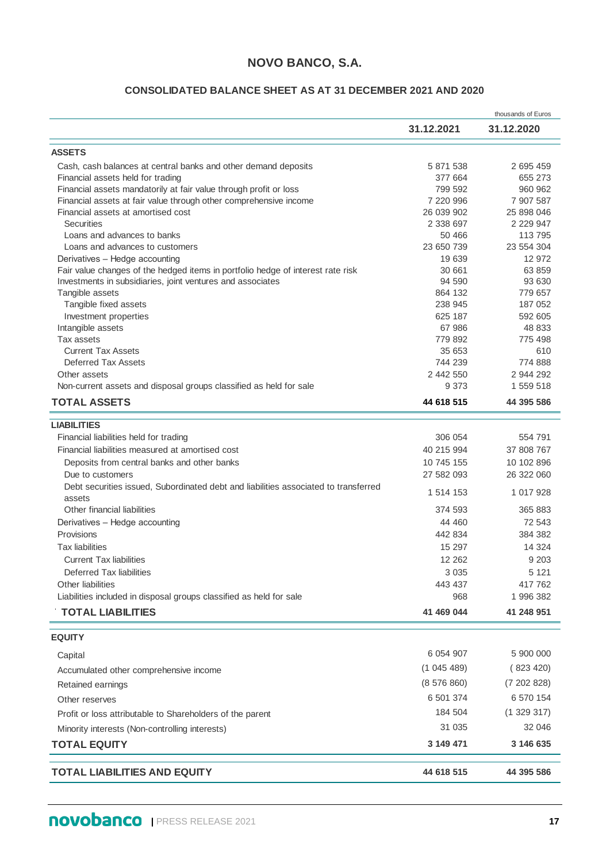# **NOVO BANCO, S.A.**

### **CONSOLIDATED BALANCE SHEET AS AT 31 DECEMBER 2021 AND 2020**

|                                                                                               |                   | thousands of Euros |
|-----------------------------------------------------------------------------------------------|-------------------|--------------------|
|                                                                                               | 31.12.2021        | 31.12.2020         |
| <b>ASSETS</b>                                                                                 |                   |                    |
| Cash, cash balances at central banks and other demand deposits                                | 5 871 538         | 2 695 459          |
| Financial assets held for trading                                                             | 377 664           | 655 273            |
| Financial assets mandatorily at fair value through profit or loss                             | 799 592           | 960 962            |
| Financial assets at fair value through other comprehensive income                             | 7 220 996         | 7 907 587          |
| Financial assets at amortised cost                                                            | 26 039 902        | 25 898 046         |
| <b>Securities</b>                                                                             | 2 338 697         | 2 2 2 9 4 7        |
| Loans and advances to banks                                                                   | 50 466            | 113 795            |
| Loans and advances to customers                                                               | 23 650 739        | 23 554 304         |
| Derivatives - Hedge accounting                                                                | 19 639            | 12 972             |
| Fair value changes of the hedged items in portfolio hedge of interest rate risk               | 30 661            | 63 859             |
| Investments in subsidiaries, joint ventures and associates                                    | 94 590<br>864 132 | 93 630<br>779 657  |
| Tangible assets<br>Tangible fixed assets                                                      | 238 945           | 187 052            |
| Investment properties                                                                         | 625 187           | 592 605            |
| Intangible assets                                                                             | 67 986            | 48 833             |
| Tax assets                                                                                    | 779 892           | 775 498            |
| <b>Current Tax Assets</b>                                                                     | 35 653            | 610                |
| Deferred Tax Assets                                                                           | 744 239           | 774 888            |
| Other assets                                                                                  | 2 442 550         | 2 944 292          |
| Non-current assets and disposal groups classified as held for sale                            | 9 3 7 3           | 1 559 518          |
| <b>TOTAL ASSETS</b>                                                                           | 44 618 515        | 44 395 586         |
|                                                                                               |                   |                    |
| <b>LIABILITIES</b>                                                                            |                   |                    |
| Financial liabilities held for trading                                                        | 306 054           | 554 791            |
| Financial liabilities measured at amortised cost                                              | 40 215 994        | 37 808 767         |
| Deposits from central banks and other banks                                                   | 10 745 155        | 10 102 896         |
| Due to customers                                                                              | 27 582 093        | 26 322 060         |
| Debt securities issued, Subordinated debt and liabilities associated to transferred<br>assets | 1 514 153         | 1 017 928          |
| Other financial liabilities                                                                   | 374 593           | 365 883            |
| Derivatives - Hedge accounting                                                                | 44 460            | 72 543             |
| Provisions                                                                                    | 442 834           | 384 382            |
| <b>Tax liabilities</b>                                                                        | 15 297            | 14 3 24            |
| <b>Current Tax liabilities</b>                                                                | 12 2 6 2          | 9 2 0 3            |
| Deferred Tax liabilities                                                                      | 3 0 3 5           | 5 1 2 1            |
| Other liabilities                                                                             | 443 437           | 417 762            |
| Liabilities included in disposal groups classified as held for sale                           | 968               | 1 996 382          |
| <b>TOTAL LIABILITIES</b>                                                                      | 41 469 044        | 41 248 951         |
|                                                                                               |                   |                    |
| <b>EQUITY</b>                                                                                 |                   |                    |
| Capital                                                                                       | 6 054 907         | 5 900 000          |
| Accumulated other comprehensive income                                                        | (1045489)         | (823 420)          |
| Retained earnings                                                                             | (8576860)         | (7202828)          |
|                                                                                               |                   |                    |
| Other reserves                                                                                | 6 501 374         | 6 570 154          |
| Profit or loss attributable to Shareholders of the parent                                     | 184 504           | (1329317)          |
| Minority interests (Non-controlling interests)                                                | 31 0 35           | 32 046             |
| <b>TOTAL EQUITY</b>                                                                           | 3 149 471         | 3 146 635          |
| <b>TOTAL LIABILITIES AND EQUITY</b>                                                           | 44 618 515        | 44 395 586         |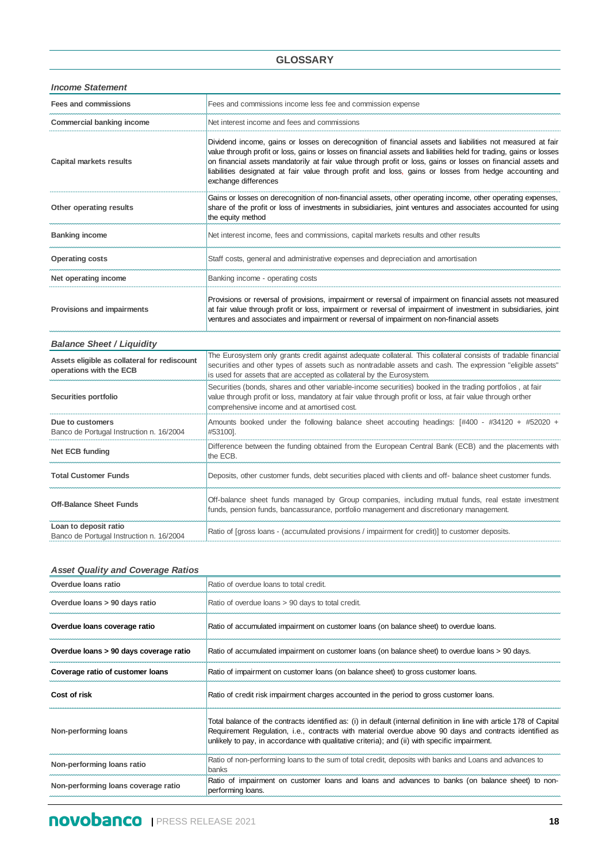#### **GLOSSARY**

*Income Statement*

| <b>Fees and commissions</b>                                             | Fees and commissions income less fee and commission expense                                                                                                                                                                                                                                                                                                                                                                                                                           |
|-------------------------------------------------------------------------|---------------------------------------------------------------------------------------------------------------------------------------------------------------------------------------------------------------------------------------------------------------------------------------------------------------------------------------------------------------------------------------------------------------------------------------------------------------------------------------|
| <b>Commercial banking income</b>                                        | Net interest income and fees and commissions                                                                                                                                                                                                                                                                                                                                                                                                                                          |
| <b>Capital markets results</b>                                          | Dividend income, gains or losses on derecognition of financial assets and liabilities not measured at fair<br>value through profit or loss, gains or losses on financial assets and liabilities held for trading, gains or losses<br>on financial assets mandatorily at fair value through profit or loss, gains or losses on financial assets and<br>liabilities designated at fair value through profit and loss, gains or losses from hedge accounting and<br>exchange differences |
| Other operating results                                                 | Gains or losses on derecognition of non-financial assets, other operating income, other operating expenses,<br>share of the profit or loss of investments in subsidiaries, joint ventures and associates accounted for using<br>the equity method                                                                                                                                                                                                                                     |
| <b>Banking income</b>                                                   | Net interest income, fees and commissions, capital markets results and other results                                                                                                                                                                                                                                                                                                                                                                                                  |
| <b>Operating costs</b>                                                  | Staff costs, general and administrative expenses and depreciation and amortisation                                                                                                                                                                                                                                                                                                                                                                                                    |
| Net operating income                                                    | Banking income - operating costs                                                                                                                                                                                                                                                                                                                                                                                                                                                      |
| <b>Provisions and impairments</b>                                       | Provisions or reversal of provisions, impairment or reversal of impairment on financial assets not measured<br>at fair value through profit or loss, impairment or reversal of impairment of investment in subsidiaries, joint<br>ventures and associates and impairment or reversal of impairment on non-financial assets                                                                                                                                                            |
| <b>Balance Sheet / Liquidity</b>                                        |                                                                                                                                                                                                                                                                                                                                                                                                                                                                                       |
| Assets eligible as collateral for rediscount<br>operations with the ECB | The Eurosystem only grants credit against adequate collateral. This collateral consists of tradable financial<br>securities and other types of assets such as nontradable assets and cash. The expression "eligible assets"<br>is used for assets that are accepted as collateral by the Eurosystem.                                                                                                                                                                                  |
| Securities portfolio                                                    | Securities (bonds, shares and other variable-income securities) booked in the trading portfolios, at fair<br>value through profit or loss, mandatory at fair value through profit or loss, at fair value through orther<br>comprehensive income and at amortised cost.                                                                                                                                                                                                                |
| Due to customers<br>Banco de Portugal Instruction n. 16/2004            | Amounts booked under the following balance sheet accouting headings: [#400 - #34120 + #52020 +<br>#53100].                                                                                                                                                                                                                                                                                                                                                                            |
| Net ECB funding                                                         | Difference between the funding obtained from the European Central Bank (ECB) and the placements with<br>the ECB.                                                                                                                                                                                                                                                                                                                                                                      |
| <b>Total Customer Funds</b>                                             | Deposits, other customer funds, debt securities placed with clients and off- balance sheet customer funds.                                                                                                                                                                                                                                                                                                                                                                            |
| <b>Off-Balance Sheet Funds</b>                                          | Off-balance sheet funds managed by Group companies, including mutual funds, real estate investment<br>funds, pension funds, bancassurance, portfolio management and discretionary management.                                                                                                                                                                                                                                                                                         |
| Loan to deposit ratio<br>Banco de Portugal Instruction n. 16/2004       | Ratio of [gross loans - (accumulated provisions / impairment for credit)] to customer deposits.                                                                                                                                                                                                                                                                                                                                                                                       |

#### *Asset Quality and Coverage Ratios*

| Overdue loans ratio                    | Ratio of overdue loans to total credit.                                                                                                                                                                                                                                                                                           |
|----------------------------------------|-----------------------------------------------------------------------------------------------------------------------------------------------------------------------------------------------------------------------------------------------------------------------------------------------------------------------------------|
| Overdue loans > 90 days ratio          | Ratio of overdue loans > 90 days to total credit.                                                                                                                                                                                                                                                                                 |
| Overdue loans coverage ratio           | Ratio of accumulated impairment on customer loans (on balance sheet) to overdue loans.                                                                                                                                                                                                                                            |
| Overdue loans > 90 days coverage ratio | Ratio of accumulated impairment on customer loans (on balance sheet) to overdue loans > 90 days.                                                                                                                                                                                                                                  |
| Coverage ratio of customer loans       | Ratio of impairment on customer loans (on balance sheet) to gross customer loans.                                                                                                                                                                                                                                                 |
| Cost of risk                           | Ratio of credit risk impairment charges accounted in the period to gross customer loans.                                                                                                                                                                                                                                          |
| Non-performing loans                   | Total balance of the contracts identified as: (i) in default (internal definition in line with article 178 of Capital<br>Requirement Regulation, i.e., contracts with material overdue above 90 days and contracts identified as<br>unlikely to pay, in accordance with qualitative criteria); and (ii) with specific impairment. |
| Non-performing loans ratio             | Ratio of non-performing loans to the sum of total credit, deposits with banks and Loans and advances to<br>banks                                                                                                                                                                                                                  |
| Non-performing loans coverage ratio    | Ratio of impairment on customer loans and loans and advances to banks (on balance sheet) to non-<br>performing loans.                                                                                                                                                                                                             |